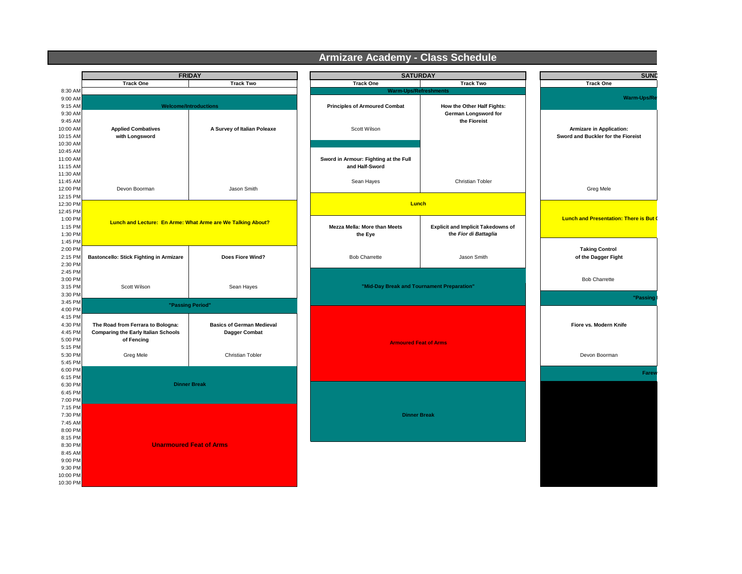|                                                     | <b>FRIDAY</b>                                                                                 |                                                   | <b>SATURDAY</b>                                         |                                                                    | <b>SUND</b>                                                    |
|-----------------------------------------------------|-----------------------------------------------------------------------------------------------|---------------------------------------------------|---------------------------------------------------------|--------------------------------------------------------------------|----------------------------------------------------------------|
|                                                     | <b>Track One</b>                                                                              | <b>Track Two</b>                                  | <b>Track One</b>                                        | <b>Track Two</b>                                                   | <b>Track One</b>                                               |
| 8:30 AM                                             |                                                                                               |                                                   | <b>Warm-Ups/Refreshments</b>                            |                                                                    |                                                                |
| 9:00 AM                                             |                                                                                               |                                                   |                                                         |                                                                    | Warm-Ups/Re                                                    |
| 9:15 AM<br>9:30 AM<br>9:45 AM                       |                                                                                               | <b>Welcome/Introductions</b>                      | <b>Principles of Armoured Combat</b>                    | How the Other Half Fights:<br>German Longsword for<br>the Fioreist |                                                                |
| 10:00 AM<br>10:15 AM                                | <b>Applied Combatives</b><br>with Longsword                                                   | A Survey of Italian Poleaxe                       | Scott Wilson                                            |                                                                    | Armizare in Application:<br>Sword and Buckler for the Fioreist |
| 10:30 AM<br>10:45 AM                                |                                                                                               |                                                   |                                                         |                                                                    |                                                                |
| 11:00 AM<br>11:15 AM                                |                                                                                               |                                                   | Sword in Armour: Fighting at the Full<br>and Half-Sword |                                                                    |                                                                |
| 11:30 AM<br>11:45 AM<br>12:00 PM                    | Devon Boorman                                                                                 | Jason Smith                                       | Sean Hayes                                              | Christian Tobler                                                   | Greg Mele                                                      |
| 12:15 PM<br>12:30 PM                                |                                                                                               |                                                   | Lunch                                                   |                                                                    |                                                                |
| 12:45 PM<br>1:00 PM<br>1:15 PM<br>1:30 PM           | Lunch and Lecture: En Arme: What Arme are We Talking About?                                   |                                                   | <b>Mezza Mella: More than Meets</b><br>the Eye          | <b>Explicit and Implicit Takedowns of</b><br>the Fior di Battaglia | <b>Lunch and Presentation: There is But (</b>                  |
| 1:45 PM<br>2:00 PM<br>2:15 PM<br>2:30 PM            | Bastoncello: Stick Fighting in Armizare                                                       | Does Fiore Wind?                                  | <b>Bob Charrette</b>                                    | Jason Smith                                                        | <b>Taking Control</b><br>of the Dagger Fight                   |
| 2:45 PM<br>3:00 PM<br>3:15 PM                       | Scott Wilson                                                                                  | Sean Hayes                                        | "Mid-Day Break and Tournament Preparation"              |                                                                    | <b>Bob Charrette</b>                                           |
| 3:30 PM<br>3:45 PM                                  | "Passing Period"                                                                              |                                                   |                                                         |                                                                    | "Passing                                                       |
| 4:00 PM<br>4:15 PM<br>4:30 PM<br>4:45 PM<br>5:00 PM | The Road from Ferrara to Bologna:<br><b>Comparing the Early Italian Schools</b><br>of Fencing | <b>Basics of German Medieval</b><br>Dagger Combat | <b>Armoured Feat of Arms</b>                            |                                                                    | Fiore vs. Modern Knife                                         |
| 5:15 PM<br>5:30 PM<br>5:45 PM                       | Greg Mele<br>Christian Tobler                                                                 |                                                   |                                                         |                                                                    | Devon Boorman                                                  |
| 6:00 PM<br>6:15 PM                                  | <b>Dinner Break</b>                                                                           |                                                   |                                                         |                                                                    |                                                                |
| 6:30 PM<br>6:45 PM<br>7:00 PM                       |                                                                                               |                                                   |                                                         |                                                                    |                                                                |
| 7:15 PM<br>7:30 PM<br>7:45 AM<br>8:00 PM            | <b>Unarmoured Feat of Arms</b>                                                                |                                                   | <b>Dinner Break</b>                                     |                                                                    |                                                                |
| 8:15 PM<br>8:30 PM<br>8:45 AM<br>9:00 PM            |                                                                                               |                                                   |                                                         |                                                                    |                                                                |
| 9:30 PM<br>10:00 PM<br>10:30 PM                     |                                                                                               |                                                   |                                                         |                                                                    |                                                                |

## **Armizare Academy - Class Schedule**